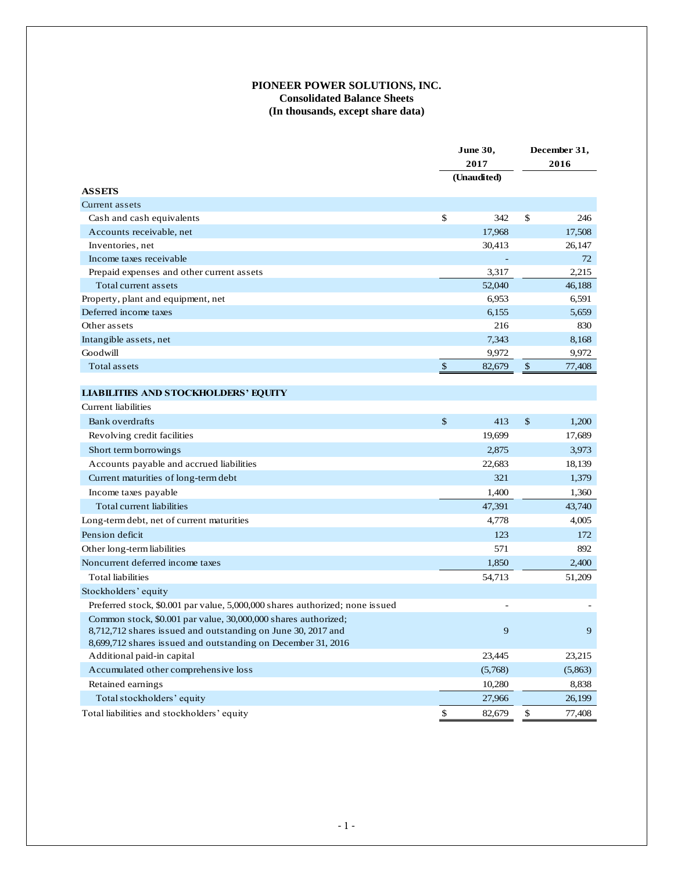## **PIONEER POWER SOLUTIONS, INC. Consolidated Balance Sheets (In thousands, except share data)**

|                                                                              |              | <b>June 30,</b> | December 31,  |         |  |
|------------------------------------------------------------------------------|--------------|-----------------|---------------|---------|--|
|                                                                              |              | 2017            |               | 2016    |  |
|                                                                              |              | (Unaudited)     |               |         |  |
| <b>ASSETS</b>                                                                |              |                 |               |         |  |
| Current assets                                                               |              |                 |               |         |  |
| Cash and cash equivalents                                                    | \$           | 342             | \$            | 246     |  |
| Accounts receivable, net                                                     |              | 17,968          |               | 17,508  |  |
| Inventories, net                                                             |              | 30,413          |               | 26,147  |  |
| Income taxes receivable                                                      |              |                 |               | 72      |  |
| Prepaid expenses and other current assets                                    |              | 3,317           |               | 2,215   |  |
| Total current assets                                                         |              | 52,040          |               | 46,188  |  |
| Property, plant and equipment, net                                           |              | 6,953           |               | 6.591   |  |
| Deferred income taxes                                                        |              | 6,155           |               | 5,659   |  |
| Other assets                                                                 |              | 216             |               | 830     |  |
| Intangible assets, net                                                       |              | 7,343           |               | 8,168   |  |
| Goodwill                                                                     |              | 9,972           |               | 9,972   |  |
| Total assets                                                                 | $\mathbb{S}$ | 82,679          | $\frac{1}{2}$ | 77,408  |  |
|                                                                              |              |                 |               |         |  |
| <b>LIABILITIES AND STOCKHOLDERS' EQUITY</b>                                  |              |                 |               |         |  |
| Current liabilities                                                          |              |                 |               |         |  |
| Bank overdrafts                                                              | \$           | 413             | \$            | 1,200   |  |
| Revolving credit facilities                                                  |              | 19,699          |               | 17,689  |  |
| Short term borrowings                                                        |              | 2,875           |               | 3,973   |  |
| Accounts payable and accrued liabilities                                     |              | 22,683          |               | 18,139  |  |
| Current maturities of long-term debt                                         |              | 321             |               | 1,379   |  |
| Income taxes payable                                                         |              | 1,400           |               | 1,360   |  |
| Total current liabilities                                                    |              | 47,391          |               | 43,740  |  |
| Long-term debt, net of current maturities                                    |              | 4,778           |               | 4,005   |  |
| Pension deficit                                                              |              | 123             |               | 172     |  |
| Other long-term liabilities                                                  |              | 571             |               | 892     |  |
| Noncurrent deferred income taxes                                             |              | 1,850           |               | 2,400   |  |
| <b>Total liabilities</b>                                                     |              | 54,713          |               | 51,209  |  |
| Stockholders' equity                                                         |              |                 |               |         |  |
| Preferred stock, \$0.001 par value, 5,000,000 shares authorized; none issued |              |                 |               |         |  |
| Common stock, \$0.001 par value, 30,000,000 shares authorized;               |              |                 |               |         |  |
| 8,712,712 shares issued and outstanding on June 30, 2017 and                 |              | 9               |               | 9       |  |
| 8,699,712 shares issued and outstanding on December 31, 2016                 |              |                 |               |         |  |
| Additional paid-in capital                                                   |              | 23,445          |               | 23,215  |  |
| Accumulated other comprehensive loss                                         |              | (5,768)         |               | (5,863) |  |
| Retained earnings                                                            |              | 10,280          |               | 8,838   |  |
| Total stockholders' equity                                                   |              | 27,966          |               | 26,199  |  |
| Total liabilities and stockholders' equity                                   | \$           | 82,679          | \$            | 77,408  |  |
|                                                                              |              |                 |               |         |  |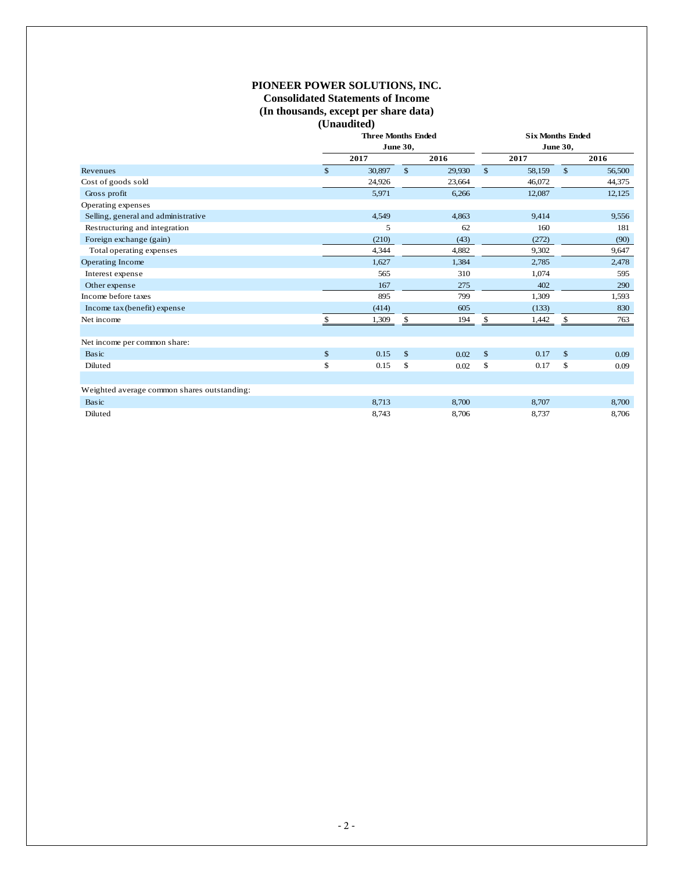## **PIONEER POWER SOLUTIONS, INC.**

## **Consolidated Statements of Income (In thousands, except per share data) (Unaudited)**

|                                             |              | <b>Three Months Ended</b><br><b>June 30,</b> |              |        |               | <b>Six Months Ended</b><br><b>June 30,</b> |               |        |  |  |  |
|---------------------------------------------|--------------|----------------------------------------------|--------------|--------|---------------|--------------------------------------------|---------------|--------|--|--|--|
|                                             |              |                                              |              |        |               |                                            |               |        |  |  |  |
|                                             |              | 2016                                         |              | 2017   |               | 2016                                       |               |        |  |  |  |
| Revenues                                    | $\mathbb{S}$ | 30,897                                       | $\mathbb{S}$ | 29,930 | $\mathbb{S}$  | 58,159                                     | $\mathcal{L}$ | 56,500 |  |  |  |
| Cost of goods sold                          |              | 24,926                                       |              | 23,664 |               | 46,072                                     |               | 44,375 |  |  |  |
| Gross profit                                |              | 5,971                                        |              | 6,266  |               | 12,087                                     |               | 12,125 |  |  |  |
| Operating expenses                          |              |                                              |              |        |               |                                            |               |        |  |  |  |
| Selling, general and administrative         |              | 4,549                                        |              | 4,863  |               | 9,414                                      |               | 9,556  |  |  |  |
| Restructuring and integration               |              | 5                                            |              | 62     |               | 160                                        |               | 181    |  |  |  |
| Foreign exchange (gain)                     |              | (210)                                        |              | (43)   |               | (272)                                      |               | (90)   |  |  |  |
| Total operating expenses                    |              | 4,344                                        |              | 4,882  |               | 9,302                                      |               | 9,647  |  |  |  |
| Operating Income                            |              | 1,627                                        |              | 1,384  |               | 2,785                                      |               | 2,478  |  |  |  |
| Interest expense                            |              | 565                                          |              | 310    |               | 1,074                                      |               | 595    |  |  |  |
| Other expense                               |              | 167                                          |              | 275    |               | 402                                        |               | 290    |  |  |  |
| Income before taxes                         |              | 895                                          |              | 799    |               | 1,309                                      |               | 1,593  |  |  |  |
| Income tax (benefit) expense                |              | (414)                                        |              | 605    |               | (133)                                      |               | 830    |  |  |  |
| Net income                                  | \$.          | 1,309                                        | \$           | 194    | \$            | 1,442                                      | \$            | 763    |  |  |  |
|                                             |              |                                              |              |        |               |                                            |               |        |  |  |  |
| Net income per common share:                |              |                                              |              |        |               |                                            |               |        |  |  |  |
| Basic                                       | $\mathbb{S}$ | 0.15                                         | \$           | 0.02   | $\mathcal{L}$ | 0.17                                       | $\mathcal{L}$ | 0.09   |  |  |  |
| Diluted                                     | \$           | 0.15                                         | \$           | 0.02   | \$            | 0.17                                       | \$            | 0.09   |  |  |  |
|                                             |              |                                              |              |        |               |                                            |               |        |  |  |  |
| Weighted average common shares outstanding: |              |                                              |              |        |               |                                            |               |        |  |  |  |
| Basic                                       |              | 8,713                                        |              | 8,700  |               | 8,707                                      |               | 8,700  |  |  |  |
| Diluted                                     |              | 8,743                                        |              | 8,706  |               | 8,737                                      |               | 8,706  |  |  |  |